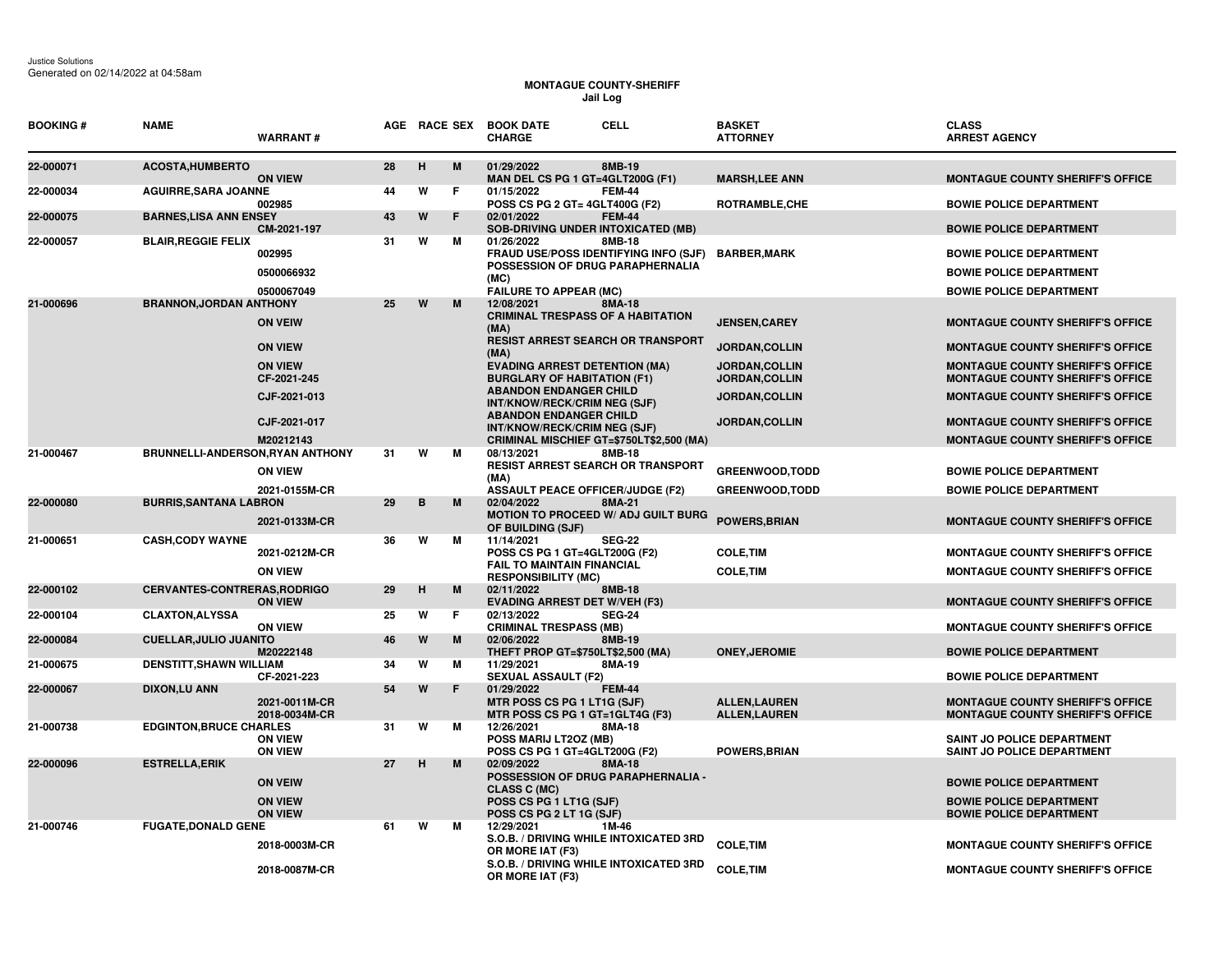## **MONTAGUE COUNTY-SHERIFF Jail Log**

| <b>BOOKING#</b> | <b>NAME</b>                        | <b>WARRANT#</b>                                    |    |   |   | AGE RACE SEX BOOK DATE<br><b>CHARGE</b>                                                                                                 | CELL          | <b>BASKET</b><br><b>ATTORNEY</b>              | <b>CLASS</b><br><b>ARREST AGENCY</b>                                                               |
|-----------------|------------------------------------|----------------------------------------------------|----|---|---|-----------------------------------------------------------------------------------------------------------------------------------------|---------------|-----------------------------------------------|----------------------------------------------------------------------------------------------------|
| 22-000071       | <b>ACOSTA, HUMBERTO</b>            | <b>ON VIEW</b>                                     | 28 | H | M | 01/29/2022<br>MAN DEL CS PG 1 GT=4GLT200G (F1)                                                                                          | 8MB-19        | <b>MARSH, LEE ANN</b>                         | <b>MONTAGUE COUNTY SHERIFF'S OFFICE</b>                                                            |
| 22-000034       | <b>AGUIRRE, SARA JOANNE</b>        | 002985                                             | 44 | W | F | 01/15/2022<br>POSS CS PG 2 GT= 4GLT400G (F2)                                                                                            | <b>FEM-44</b> | <b>ROTRAMBLE,CHE</b>                          | <b>BOWIE POLICE DEPARTMENT</b>                                                                     |
| 22-000075       | <b>BARNES, LISA ANN ENSEY</b>      | CM-2021-197                                        | 43 | W | F | 02/01/2022<br><b>SOB-DRIVING UNDER INTOXICATED (MB)</b>                                                                                 | <b>FEM-44</b> |                                               | <b>BOWIE POLICE DEPARTMENT</b>                                                                     |
| 22-000057       | <b>BLAIR, REGGIE FELIX</b>         | 002995<br>0500066932<br>0500067049                 | 31 | W | м | 01/26/2022<br><b>FRAUD USE/POSS IDENTIFYING INFO (SJF)</b><br>POSSESSION OF DRUG PARAPHERNALIA<br>(MC)<br><b>FAILURE TO APPEAR (MC)</b> | 8MB-18        | <b>BARBER,MARK</b>                            | <b>BOWIE POLICE DEPARTMENT</b><br><b>BOWIE POLICE DEPARTMENT</b><br><b>BOWIE POLICE DEPARTMENT</b> |
| 21-000696       | <b>BRANNON, JORDAN ANTHONY</b>     | <b>ON VEIW</b>                                     | 25 | W | M | 12/08/2021<br><b>CRIMINAL TRESPASS OF A HABITATION</b><br>(MA)                                                                          | 8MA-18        | <b>JENSEN, CAREY</b>                          | <b>MONTAGUE COUNTY SHERIFF'S OFFICE</b>                                                            |
|                 |                                    | <b>ON VIEW</b>                                     |    |   |   | <b>RESIST ARREST SEARCH OR TRANSPORT</b><br>(MA)                                                                                        |               | JORDAN, COLLIN                                | <b>MONTAGUE COUNTY SHERIFF'S OFFICE</b>                                                            |
|                 |                                    | <b>ON VIEW</b><br>CF-2021-245                      |    |   |   | <b>EVADING ARREST DETENTION (MA)</b><br><b>BURGLARY OF HABITATION (F1)</b>                                                              |               | <b>JORDAN,COLLIN</b><br><b>JORDAN, COLLIN</b> | <b>MONTAGUE COUNTY SHERIFF'S OFFICE</b><br><b>MONTAGUE COUNTY SHERIFF'S OFFICE</b>                 |
|                 |                                    | CJF-2021-013                                       |    |   |   | <b>ABANDON ENDANGER CHILD</b><br>INT/KNOW/RECK/CRIM NEG (SJF)                                                                           |               | JORDAN, COLLIN                                | <b>MONTAGUE COUNTY SHERIFF'S OFFICE</b>                                                            |
|                 |                                    | CJF-2021-017                                       |    |   |   | <b>ABANDON ENDANGER CHILD</b><br>INT/KNOW/RECK/CRIM NEG (SJF)                                                                           |               | <b>JORDAN, COLLIN</b>                         | <b>MONTAGUE COUNTY SHERIFF'S OFFICE</b>                                                            |
| 21-000467       | BRUNNELLI-ANDERSON, RYAN ANTHONY   | M20212143                                          | 31 | W | М | CRIMINAL MISCHIEF GT=\$750LT\$2,500 (MA)<br>08/13/2021                                                                                  | 8MB-18        |                                               | <b>MONTAGUE COUNTY SHERIFF'S OFFICE</b>                                                            |
|                 |                                    | <b>ON VIEW</b>                                     |    |   |   | <b>RESIST ARREST SEARCH OR TRANSPORT</b><br>(MA)                                                                                        |               | <b>GREENWOOD, TODD</b>                        | <b>BOWIE POLICE DEPARTMENT</b>                                                                     |
| 22-000080       | <b>BURRIS, SANTANA LABRON</b>      | 2021-0155M-CR                                      | 29 | B | М | <b>ASSAULT PEACE OFFICER/JUDGE (F2)</b><br>02/04/2022                                                                                   | 8MA-21        | <b>GREENWOOD,TODD</b>                         | <b>BOWIE POLICE DEPARTMENT</b>                                                                     |
|                 |                                    | 2021-0133M-CR                                      |    |   |   | MOTION TO PROCEED W/ ADJ GUILT BURG<br>OF BUILDING (SJF)                                                                                |               | <b>POWERS, BRIAN</b>                          | <b>MONTAGUE COUNTY SHERIFF'S OFFICE</b>                                                            |
| 21-000651       | <b>CASH, CODY WAYNE</b>            | 2021-0212M-CR<br><b>ON VIEW</b>                    | 36 | W | м | 11/14/2021<br>POSS CS PG 1 GT=4GLT200G (F2)<br><b>FAIL TO MAINTAIN FINANCIAL</b><br><b>RESPONSIBILITY (MC)</b>                          | <b>SEG-22</b> | <b>COLE, TIM</b><br><b>COLE, TIM</b>          | <b>MONTAGUE COUNTY SHERIFF'S OFFICE</b><br><b>MONTAGUE COUNTY SHERIFF'S OFFICE</b>                 |
| 22-000102       | <b>CERVANTES-CONTRERAS.RODRIGO</b> | <b>ON VIEW</b>                                     | 29 | H | м | 02/11/2022<br><b>EVADING ARREST DET W/VEH (F3)</b>                                                                                      | 8MB-18        |                                               | <b>MONTAGUE COUNTY SHERIFF'S OFFICE</b>                                                            |
| 22-000104       | <b>CLAXTON, ALYSSA</b>             | <b>ON VIEW</b>                                     | 25 | W | F | 02/13/2022<br><b>CRIMINAL TRESPASS (MB)</b>                                                                                             | <b>SEG-24</b> |                                               | <b>MONTAGUE COUNTY SHERIFF'S OFFICE</b>                                                            |
| 22-000084       | <b>CUELLAR, JULIO JUANITO</b>      | M20222148                                          | 46 | W | M | 02/06/2022<br>THEFT PROP GT=\$750LT\$2,500 (MA)                                                                                         | 8MB-19        | <b>ONEY, JEROMIE</b>                          | <b>BOWIE POLICE DEPARTMENT</b>                                                                     |
| 21-000675       | <b>DENSTITT, SHAWN WILLIAM</b>     | CF-2021-223                                        | 34 | W | м | 11/29/2021<br><b>SEXUAL ASSAULT (F2)</b>                                                                                                | 8MA-19        |                                               | <b>BOWIE POLICE DEPARTMENT</b>                                                                     |
| 22-000067       | <b>DIXON,LU ANN</b>                | 2021-0011M-CR<br>2018-0034M-CR                     | 54 | W | F | 01/29/2022<br>MTR POSS CS PG 1 LT1G (SJF)<br>MTR POSS CS PG 1 GT=1GLT4G (F3)                                                            | <b>FEM-44</b> | <b>ALLEN,LAUREN</b><br><b>ALLEN, LAUREN</b>   | <b>MONTAGUE COUNTY SHERIFF'S OFFICE</b><br><b>MONTAGUE COUNTY SHERIFF'S OFFICE</b>                 |
| 21-000738       | <b>EDGINTON, BRUCE CHARLES</b>     | <b>ON VIEW</b><br><b>ON VIEW</b>                   | 31 | W | м | 12/26/2021<br>POSS MARIJ LT2OZ (MB)<br>POSS CS PG 1 GT=4GLT200G (F2)                                                                    | 8MA-18        | <b>POWERS, BRIAN</b>                          | <b>SAINT JO POLICE DEPARTMENT</b><br><b>SAINT JO POLICE DEPARTMENT</b>                             |
| 22-000096       | <b>ESTRELLA, ERIK</b>              | <b>ON VEIW</b><br><b>ON VIEW</b><br><b>ON VIEW</b> | 27 | н | М | 02/09/2022<br>POSSESSION OF DRUG PARAPHERNALIA -<br><b>CLASS C (MC)</b><br>POSS CS PG 1 LT1G (SJF)<br>POSS CS PG 2 LT 1G (SJF)          | 8MA-18        |                                               | <b>BOWIE POLICE DEPARTMENT</b><br><b>BOWIE POLICE DEPARTMENT</b><br><b>BOWIE POLICE DEPARTMENT</b> |
| 21-000746       | <b>FUGATE, DONALD GENE</b>         | 2018-0003M-CR                                      | 61 | W | м | 12/29/2021<br>S.O.B. / DRIVING WHILE INTOXICATED 3RD<br>OR MORE IAT (F3)                                                                | 1M-46         | <b>COLE, TIM</b>                              | <b>MONTAGUE COUNTY SHERIFF'S OFFICE</b>                                                            |
|                 |                                    | 2018-0087M-CR                                      |    |   |   | S.O.B. / DRIVING WHILE INTOXICATED 3RD<br>OR MORE IAT (F3)                                                                              |               | <b>COLE, TIM</b>                              | <b>MONTAGUE COUNTY SHERIFF'S OFFICE</b>                                                            |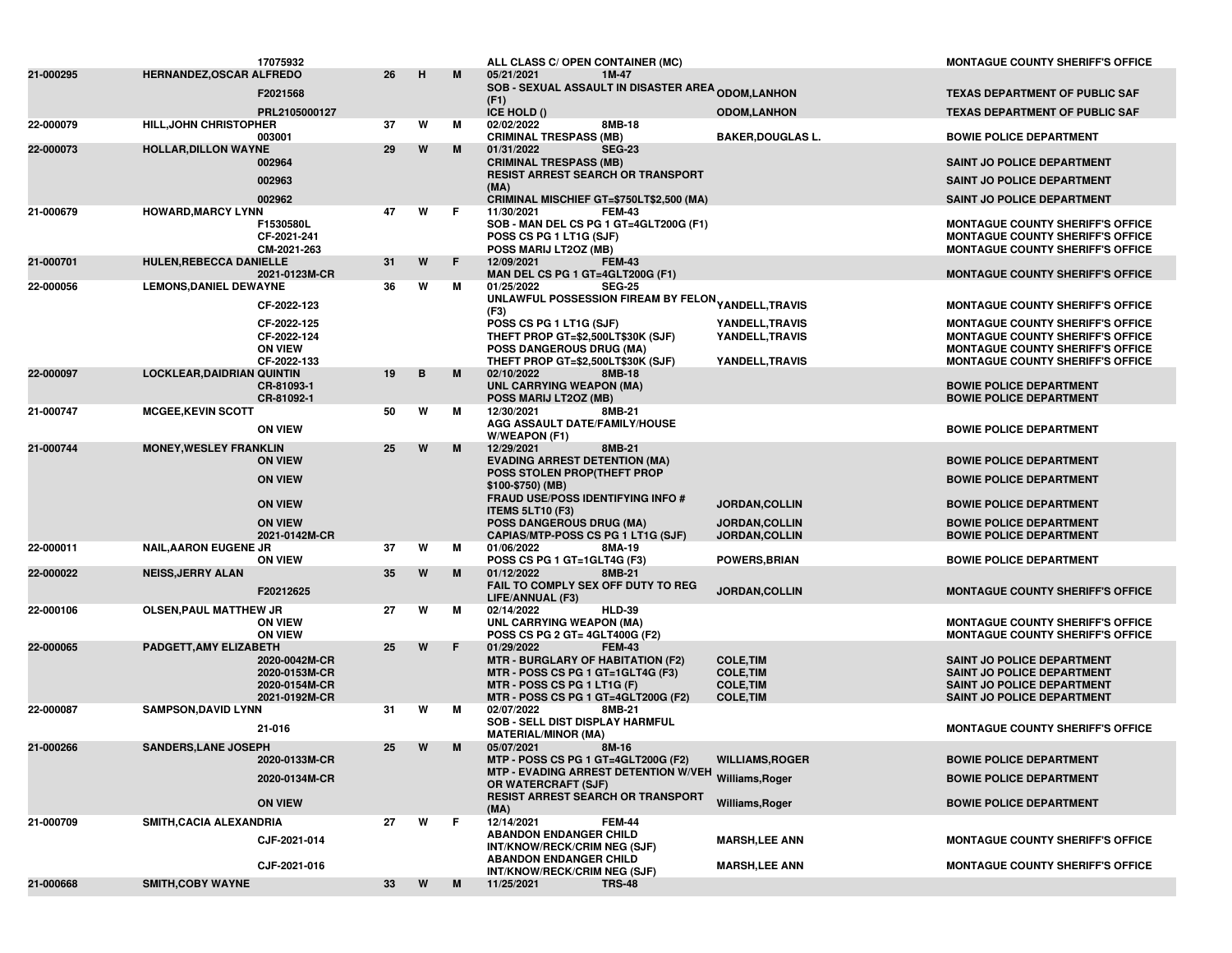| 21-000668              | <b>SMITH, COBY WAYNE</b>                                   |                                                                  | 33       | W      | M      | <b>TRS-48</b><br>11/25/2021                                                                                                                                                        |                                                                              |                                                                                                                                                                          |
|------------------------|------------------------------------------------------------|------------------------------------------------------------------|----------|--------|--------|------------------------------------------------------------------------------------------------------------------------------------------------------------------------------------|------------------------------------------------------------------------------|--------------------------------------------------------------------------------------------------------------------------------------------------------------------------|
| 21-000709              | SMITH, CACIA ALEXANDRIA                                    | CJF-2021-014<br>CJF-2021-016                                     | 27       | W      | F.     | 12/14/2021<br><b>FEM-44</b><br><b>ABANDON ENDANGER CHILD</b><br>INT/KNOW/RECK/CRIM NEG (SJF)<br><b>ABANDON ENDANGER CHILD</b><br>INT/KNOW/RECK/CRIM NEG (SJF)                      | <b>MARSH,LEE ANN</b><br><b>MARSH,LEE ANN</b>                                 | <b>MONTAGUE COUNTY SHERIFF'S OFFICE</b><br><b>MONTAGUE COUNTY SHERIFF'S OFFICE</b>                                                                                       |
|                        |                                                            | 2020-0133M-CR<br>2020-0134M-CR<br><b>ON VIEW</b>                 |          |        |        | MTP - POSS CS PG 1 GT=4GLT200G (F2)<br>MTP - EVADING ARREST DETENTION W/VEH Williams, Roger<br>OR WATERCRAFT (SJF)<br><b>RESIST ARREST SEARCH OR TRANSPORT</b><br>(MA)             | <b>WILLIAMS, ROGER</b><br>Williams, Roger                                    | <b>BOWIE POLICE DEPARTMENT</b><br><b>BOWIE POLICE DEPARTMENT</b><br><b>BOWIE POLICE DEPARTMENT</b>                                                                       |
| 21-000266              | <b>SANDERS, LANE JOSEPH</b>                                |                                                                  | 25       | W      | M      | <b>MATERIAL/MINOR (MA)</b><br>05/07/2021<br>8M-16                                                                                                                                  |                                                                              |                                                                                                                                                                          |
| 22-000087              | <b>SAMPSON, DAVID LYNN</b>                                 | 21-016                                                           | 31       | W      | м      | 02/07/2022<br>8MB-21<br>SOB - SELL DIST DISPLAY HARMFUL                                                                                                                            |                                                                              | MONTAGUE COUNTY SHERIFF'S OFFICE                                                                                                                                         |
| 22-000065              | PADGETT, AMY ELIZABETH                                     | 2020-0042M-CR<br>2020-0153M-CR<br>2020-0154M-CR<br>2021-0192M-CR | 25       | W      | F      | 01/29/2022<br><b>FEM-43</b><br><b>MTR - BURGLARY OF HABITATION (F2)</b><br>MTR - POSS CS PG 1 GT=1GLT4G (F3)<br>MTR - POSS CS PG 1 LT1G (F)<br>MTR - POSS CS PG 1 GT=4GLT200G (F2) | <b>COLE, TIM</b><br><b>COLE, TIM</b><br><b>COLE, TIM</b><br><b>COLE, TIM</b> | SAINT JO POLICE DEPARTMENT<br><b>SAINT JO POLICE DEPARTMENT</b><br>SAINT JO POLICE DEPARTMENT<br>SAINT JO POLICE DEPARTMENT                                              |
| 22-000106              | <b>OLSEN, PAUL MATTHEW JR</b>                              | <b>ON VIEW</b><br><b>ON VIEW</b>                                 | 27       | W      | м      | 02/14/2022<br><b>HLD-39</b><br>UNL CARRYING WEAPON (MA)<br>POSS CS PG 2 GT= 4GLT400G (F2)                                                                                          |                                                                              | <b>MONTAGUE COUNTY SHERIFF'S OFFICE</b><br><b>MONTAGUE COUNTY SHERIFF'S OFFICE</b>                                                                                       |
| 22-000022              | <b>NEISS, JERRY ALAN</b>                                   | F20212625                                                        | 35       | W      | M      | 01/12/2022<br>8MB-21<br>FAIL TO COMPLY SEX OFF DUTY TO REG<br>LIFE/ANNUAL (F3)                                                                                                     | <b>JORDAN,COLLIN</b>                                                         | <b>MONTAGUE COUNTY SHERIFF'S OFFICE</b>                                                                                                                                  |
| 22-000011              | <b>NAIL, AARON EUGENE JR</b>                               | <b>ON VIEW</b>                                                   | 37       | W      | м      | 01/06/2022<br>8MA-19<br>POSS CS PG 1 GT=1GLT4G (F3)                                                                                                                                | <b>POWERS, BRIAN</b>                                                         | <b>BOWIE POLICE DEPARTMENT</b>                                                                                                                                           |
|                        |                                                            | <b>ON VIEW</b><br>2021-0142M-CR                                  |          |        |        | <b>ITEMS 5LT10 (F3)</b><br><b>POSS DANGEROUS DRUG (MA)</b><br>CAPIAS/MTP-POSS CS PG 1 LT1G (SJF)                                                                                   | <b>JORDAN,COLLIN</b><br><b>JORDAN,COLLIN</b>                                 | <b>BOWIE POLICE DEPARTMENT</b><br><b>BOWIE POLICE DEPARTMENT</b>                                                                                                         |
|                        |                                                            | <b>ON VIEW</b><br><b>ON VIEW</b>                                 |          |        |        | \$100-\$750) (MB)<br><b>FRAUD USE/POSS IDENTIFYING INFO #</b>                                                                                                                      | <b>JORDAN,COLLIN</b>                                                         | <b>BOWIE POLICE DEPARTMENT</b>                                                                                                                                           |
|                        |                                                            | <b>ON VIEW</b>                                                   |          |        |        | <b>EVADING ARREST DETENTION (MA)</b><br>POSS STOLEN PROP(THEFT PROP                                                                                                                |                                                                              | <b>BOWIE POLICE DEPARTMENT</b><br><b>BOWIE POLICE DEPARTMENT</b>                                                                                                         |
| 21-000747<br>21-000744 | <b>MCGEE, KEVIN SCOTT</b><br><b>MONEY, WESLEY FRANKLIN</b> | <b>ON VIEW</b>                                                   | 50<br>25 | W<br>W | м<br>M | 12/30/2021<br>8MB-21<br>AGG ASSAULT DATE/FAMILY/HOUSE<br>W/WEAPON (F1)<br>12/29/2021<br>8MB-21                                                                                     |                                                                              | <b>BOWIE POLICE DEPARTMENT</b>                                                                                                                                           |
| 22-000097              | <b>LOCKLEAR, DAIDRIAN QUINTIN</b>                          | CR-81093-1<br>CR-81092-1                                         |          |        |        | 8MB-18<br><b>UNL CARRYING WEAPON (MA)</b><br>POSS MARIJ LT20Z (MB)                                                                                                                 |                                                                              | <b>BOWIE POLICE DEPARTMENT</b><br><b>BOWIE POLICE DEPARTMENT</b>                                                                                                         |
|                        |                                                            | CF-2022-125<br>CF-2022-124<br><b>ON VIEW</b><br>CF-2022-133      | 19       | В      | M      | POSS CS PG 1 LT1G (SJF)<br>THEFT PROP GT=\$2,500LT\$30K (SJF)<br><b>POSS DANGEROUS DRUG (MA)</b><br>THEFT PROP GT=\$2,500LT\$30K (SJF)<br>02/10/2022                               | YANDELL, TRAVIS<br>YANDELL, TRAVIS<br>YANDELL, TRAVIS                        | <b>MONTAGUE COUNTY SHERIFF'S OFFICE</b><br><b>MONTAGUE COUNTY SHERIFF'S OFFICE</b><br><b>MONTAGUE COUNTY SHERIFF'S OFFICE</b><br><b>MONTAGUE COUNTY SHERIFF'S OFFICE</b> |
| 22-000056              | <b>LEMONS, DANIEL DEWAYNE</b>                              | CF-2022-123                                                      | 36       | W      | м      | <b>SEG-25</b><br>01/25/2022<br>UNLAWFUL POSSESSION FIREAM BY FELON <sub>YANDELL,</sub> TRAVIS<br>(F3)                                                                              |                                                                              | <b>MONTAGUE COUNTY SHERIFF'S OFFICE</b>                                                                                                                                  |
| 21-000701              | HULEN, REBECCA DANIELLE                                    | 2021-0123M-CR                                                    | 31       | W      | F.     | <b>FEM-43</b><br>12/09/2021<br>MAN DEL CS PG 1 GT=4GLT200G (F1)                                                                                                                    |                                                                              | <b>MONTAGUE COUNTY SHERIFF'S OFFICE</b>                                                                                                                                  |
| 21-000679              | <b>HOWARD, MARCY LYNN</b>                                  | F1530580L<br>CF-2021-241<br>CM-2021-263                          | 47       | W      | F.     | 11/30/2021<br><b>FEM-43</b><br>SOB - MAN DEL CS PG 1 GT=4GLT200G (F1)<br>POSS CS PG 1 LT1G (SJF)<br>POSS MARIJ LT20Z (MB)                                                          |                                                                              | <b>MONTAGUE COUNTY SHERIFF'S OFFICE</b><br><b>MONTAGUE COUNTY SHERIFF'S OFFICE</b><br><b>MONTAGUE COUNTY SHERIFF'S OFFICE</b>                                            |
|                        |                                                            | 002964<br>002963<br>002962                                       |          |        |        | <b>CRIMINAL TRESPASS (MB)</b><br><b>RESIST ARREST SEARCH OR TRANSPORT</b><br>(MA)<br>CRIMINAL MISCHIEF GT=\$750LT\$2,500 (MA)                                                      |                                                                              | <b>SAINT JO POLICE DEPARTMENT</b><br><b>SAINT JO POLICE DEPARTMENT</b><br><b>SAINT JO POLICE DEPARTMENT</b>                                                              |
| 22-000073              | <b>HOLLAR, DILLON WAYNE</b>                                | 003001                                                           | 29       | W      | M      | <b>CRIMINAL TRESPASS (MB)</b><br><b>SEG-23</b><br>01/31/2022                                                                                                                       | <b>BAKER, DOUGLAS L.</b>                                                     | <b>BOWIE POLICE DEPARTMENT</b>                                                                                                                                           |
| 22-000079              | <b>HILL, JOHN CHRISTOPHER</b>                              | PRL2105000127                                                    | 37       | W      | М      | ICE HOLD ()<br>02/02/2022<br>8MB-18                                                                                                                                                | <b>ODOM,LANHON</b>                                                           | <b>TEXAS DEPARTMENT OF PUBLIC SAF</b>                                                                                                                                    |
|                        |                                                            | F2021568                                                         |          |        |        | <b>SOB - SEXUAL ASSAULT IN DISASTER AREA <sub>ODOM,</sub>LANHON</b><br>(F1)                                                                                                        |                                                                              | <b>TEXAS DEPARTMENT OF PUBLIC SAF</b>                                                                                                                                    |
| 21-000295              | HERNANDEZ, OSCAR ALFREDO                                   | 17075932                                                         | 26       | н      | M      | ALL CLASS C/ OPEN CONTAINER (MC)<br>05/21/2021<br>1M-47                                                                                                                            |                                                                              | <b>MONTAGUE COUNTY SHERIFF'S OFFICE</b>                                                                                                                                  |